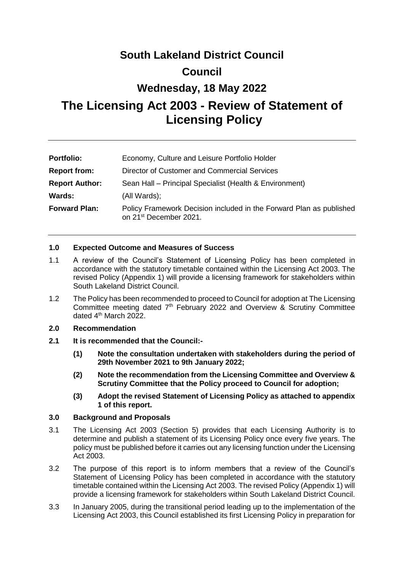# **South Lakeland District Council Council Wednesday, 18 May 2022 The Licensing Act 2003 - Review of Statement of Licensing Policy**

| <b>Portfolio:</b>     | Economy, Culture and Leisure Portfolio Holder                                                             |
|-----------------------|-----------------------------------------------------------------------------------------------------------|
| <b>Report from:</b>   | Director of Customer and Commercial Services                                                              |
| <b>Report Author:</b> | Sean Hall - Principal Specialist (Health & Environment)                                                   |
| Wards:                | (All Wards);                                                                                              |
| <b>Forward Plan:</b>  | Policy Framework Decision included in the Forward Plan as published<br>on 21 <sup>st</sup> December 2021. |

#### **1.0 Expected Outcome and Measures of Success**

- 1.1 A review of the Council's Statement of Licensing Policy has been completed in accordance with the statutory timetable contained within the Licensing Act 2003. The revised Policy (Appendix 1) will provide a licensing framework for stakeholders within South Lakeland District Council.
- 1.2 The Policy has been recommended to proceed to Council for adoption at The Licensing Committee meeting dated 7<sup>th</sup> February 2022 and Overview & Scrutiny Committee dated  $4<sup>th</sup>$  March 2022.

#### **2.0 Recommendation**

- **2.1 It is recommended that the Council:-**
	- **(1) Note the consultation undertaken with stakeholders during the period of 29th November 2021 to 9th January 2022;**
	- **(2) Note the recommendation from the Licensing Committee and Overview & Scrutiny Committee that the Policy proceed to Council for adoption;**
	- **(3) Adopt the revised Statement of Licensing Policy as attached to appendix 1 of this report.**

#### **3.0 Background and Proposals**

- 3.1 The Licensing Act 2003 (Section 5) provides that each Licensing Authority is to determine and publish a statement of its Licensing Policy once every five years. The policy must be published before it carries out any licensing function under the Licensing Act 2003.
- 3.2 The purpose of this report is to inform members that a review of the Council's Statement of Licensing Policy has been completed in accordance with the statutory timetable contained within the Licensing Act 2003. The revised Policy (Appendix 1) will provide a licensing framework for stakeholders within South Lakeland District Council.
- 3.3 In January 2005, during the transitional period leading up to the implementation of the Licensing Act 2003, this Council established its first Licensing Policy in preparation for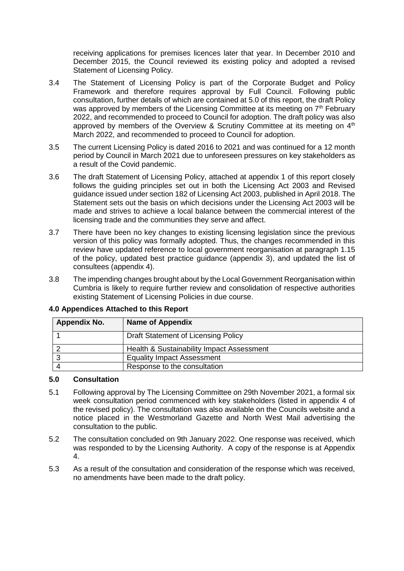receiving applications for premises licences later that year. In December 2010 and December 2015, the Council reviewed its existing policy and adopted a revised Statement of Licensing Policy.

- 3.4 The Statement of Licensing Policy is part of the Corporate Budget and Policy Framework and therefore requires approval by Full Council. Following public consultation, further details of which are contained at 5.0 of this report, the draft Policy was approved by members of the Licensing Committee at its meeting on  $7<sup>th</sup>$  February 2022, and recommended to proceed to Council for adoption. The draft policy was also approved by members of the Overview & Scrutiny Committee at its meeting on  $4<sup>th</sup>$ March 2022, and recommended to proceed to Council for adoption.
- 3.5 The current Licensing Policy is dated 2016 to 2021 and was continued for a 12 month period by Council in March 2021 due to unforeseen pressures on key stakeholders as a result of the Covid pandemic.
- 3.6 The draft Statement of Licensing Policy, attached at appendix 1 of this report closely follows the guiding principles set out in both the Licensing Act 2003 and Revised guidance issued under section 182 of Licensing Act 2003, published in April 2018. The Statement sets out the basis on which decisions under the Licensing Act 2003 will be made and strives to achieve a local balance between the commercial interest of the licensing trade and the communities they serve and affect.
- 3.7 There have been no key changes to existing licensing legislation since the previous version of this policy was formally adopted. Thus, the changes recommended in this review have updated reference to local government reorganisation at paragraph 1.15 of the policy, updated best practice guidance (appendix 3), and updated the list of consultees (appendix 4).
- 3.8 The impending changes brought about by the Local Government Reorganisation within Cumbria is likely to require further review and consolidation of respective authorities existing Statement of Licensing Policies in due course.

| Appendix No. | <b>Name of Appendix</b>                   |
|--------------|-------------------------------------------|
|              | Draft Statement of Licensing Policy       |
|              | Health & Sustainability Impact Assessment |
|              | <b>Equality Impact Assessment</b>         |
|              | Response to the consultation              |

### **4.0 Appendices Attached to this Report**

#### **5.0 Consultation**

- 5.1 Following approval by The Licensing Committee on 29th November 2021, a formal six week consultation period commenced with key stakeholders (listed in appendix 4 of the revised policy). The consultation was also available on the Councils website and a notice placed in the Westmorland Gazette and North West Mail advertising the consultation to the public.
- 5.2 The consultation concluded on 9th January 2022. One response was received, which was responded to by the Licensing Authority. A copy of the response is at Appendix 4.
- 5.3 As a result of the consultation and consideration of the response which was received, no amendments have been made to the draft policy.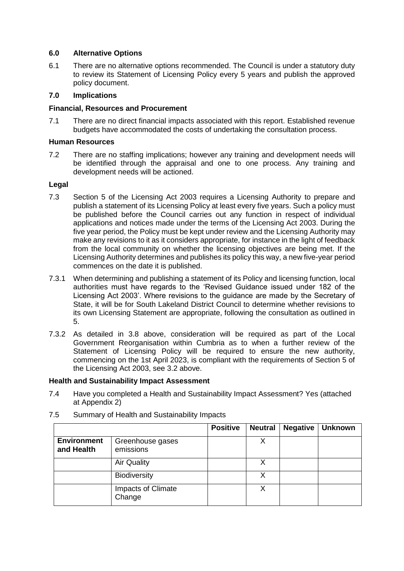#### **6.0 Alternative Options**

6.1 There are no alternative options recommended. The Council is under a statutory duty to review its Statement of Licensing Policy every 5 years and publish the approved policy document.

#### **7.0 Implications**

#### **Financial, Resources and Procurement**

7.1 There are no direct financial impacts associated with this report. Established revenue budgets have accommodated the costs of undertaking the consultation process.

#### **Human Resources**

7.2 There are no staffing implications; however any training and development needs will be identified through the appraisal and one to one process. Any training and development needs will be actioned.

#### **Legal**

- 7.3 Section 5 of the Licensing Act 2003 requires a Licensing Authority to prepare and publish a statement of its Licensing Policy at least every five years. Such a policy must be published before the Council carries out any function in respect of individual applications and notices made under the terms of the Licensing Act 2003. During the five year period, the Policy must be kept under review and the Licensing Authority may make any revisions to it as it considers appropriate, for instance in the light of feedback from the local community on whether the licensing objectives are being met. If the Licensing Authority determines and publishes its policy this way, a new five-year period commences on the date it is published.
- 7.3.1 When determining and publishing a statement of its Policy and licensing function, local authorities must have regards to the 'Revised Guidance issued under 182 of the Licensing Act 2003'. Where revisions to the guidance are made by the Secretary of State, it will be for South Lakeland District Council to determine whether revisions to its own Licensing Statement are appropriate, following the consultation as outlined in 5.
- 7.3.2 As detailed in 3.8 above, consideration will be required as part of the Local Government Reorganisation within Cumbria as to when a further review of the Statement of Licensing Policy will be required to ensure the new authority, commencing on the 1st April 2023, is compliant with the requirements of Section 5 of the Licensing Act 2003, see 3.2 above.

#### **Health and Sustainability Impact Assessment**

7.4 Have you completed a Health and Sustainability Impact Assessment? Yes (attached at Appendix 2)

|                                  |                               | <b>Positive</b> | <b>Neutral</b> | <b>Negative</b> | <b>Unknown</b> |
|----------------------------------|-------------------------------|-----------------|----------------|-----------------|----------------|
| <b>Environment</b><br>and Health | Greenhouse gases<br>emissions |                 |                |                 |                |
|                                  | <b>Air Quality</b>            |                 | χ              |                 |                |
|                                  | <b>Biodiversity</b>           |                 | x              |                 |                |
|                                  | Impacts of Climate<br>Change  |                 | X              |                 |                |

7.5 Summary of Health and Sustainability Impacts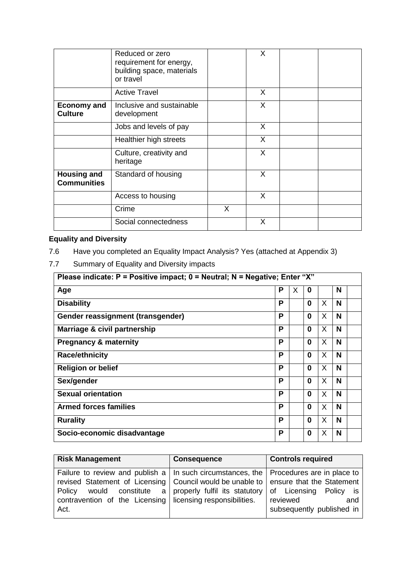|                                          | Reduced or zero<br>requirement for energy,<br>building space, materials<br>or travel |   | X            |  |
|------------------------------------------|--------------------------------------------------------------------------------------|---|--------------|--|
|                                          | <b>Active Travel</b>                                                                 |   | X            |  |
| <b>Economy and</b><br><b>Culture</b>     | Inclusive and sustainable<br>development                                             |   | $\mathsf{X}$ |  |
|                                          | Jobs and levels of pay                                                               |   | X            |  |
|                                          | Healthier high streets                                                               |   | X            |  |
|                                          | Culture, creativity and<br>heritage                                                  |   | X            |  |
| <b>Housing and</b><br><b>Communities</b> | Standard of housing                                                                  |   | X            |  |
|                                          | Access to housing                                                                    |   | $\mathsf{X}$ |  |
|                                          | Crime                                                                                | X |              |  |
|                                          | Social connectedness                                                                 |   | X            |  |

# **Equality and Diversity**

7.7 Summary of Equality and Diversity impacts

| Please indicate: $P =$ Positive impact; $0 =$ Neutral; N = Negative; Enter "X" |   |   |          |   |   |
|--------------------------------------------------------------------------------|---|---|----------|---|---|
| Age                                                                            | P | X | 0        |   | N |
| <b>Disability</b>                                                              | P |   | $\Omega$ | X | N |
| Gender reassignment (transgender)                                              | P |   | $\Omega$ | X | N |
| Marriage & civil partnership                                                   | P |   | $\Omega$ | X | N |
| <b>Pregnancy &amp; maternity</b>                                               | P |   | $\bf{0}$ | X | N |
| <b>Race/ethnicity</b>                                                          | P |   | $\Omega$ | X | N |
| <b>Religion or belief</b>                                                      | P |   | 0        | X | N |
| Sex/gender                                                                     | P |   | $\Omega$ | X | N |
| <b>Sexual orientation</b>                                                      | P |   | $\Omega$ | X | N |
| <b>Armed forces families</b>                                                   | P |   | 0        | X | N |
| <b>Rurality</b>                                                                | P |   | 0        | X | N |
| Socio-economic disadvantage                                                    | P |   | 0        | X | N |

| <b>Risk Management</b>                                                                                                                                                                                                                                                                                                                       | <b>Consequence</b> | <b>Controls required</b>                     |
|----------------------------------------------------------------------------------------------------------------------------------------------------------------------------------------------------------------------------------------------------------------------------------------------------------------------------------------------|--------------------|----------------------------------------------|
| Failure to review and publish a   In such circumstances, the   Procedures are in place to<br>revised Statement of Licensing   Council would be unable to   ensure that the Statement<br>Policy would constitute a properly fulfil its statutory of Licensing Policy is<br>contravention of the Licensing licensing responsibilities.<br>Act. |                    | reviewed<br>and<br>subsequently published in |

<sup>7.6</sup> Have you completed an Equality Impact Analysis? Yes (attached at Appendix 3)